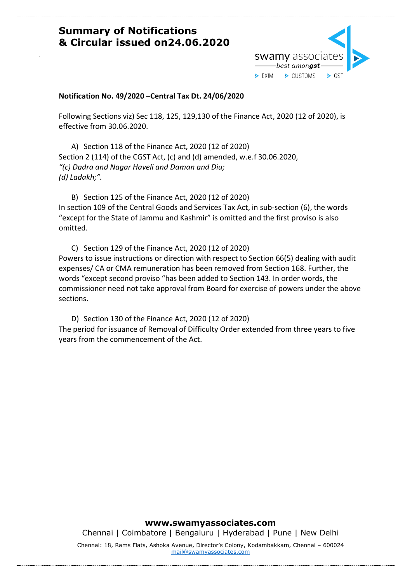

#### **Notification No. 49/2020 –Central Tax Dt. 24/06/2020**

Following Sections viz) Sec 118, 125, 129,130 of the Finance Act, 2020 (12 of 2020), is effective from 30.06.2020.

A) Section 118 of the Finance Act, 2020 (12 of 2020) Section 2 (114) of the CGST Act, (c) and (d) amended, w.e.f 30.06.2020, *"(c) Dadra and Nagar Haveli and Daman and Diu; (d) Ladakh;".*

B) Section 125 of the Finance Act, 2020 (12 of 2020) In section 109 of the Central Goods and Services Tax Act, in sub-section (6), the words "except for the State of Jammu and Kashmir" is omitted and the first proviso is also omitted.

C) Section 129 of the Finance Act, 2020 (12 of 2020) Powers to issue instructions or direction with respect to Section 66(5) dealing with audit expenses/ CA or CMA remuneration has been removed from Section 168. Further, the words "except second proviso "has been added to Section 143. In order words, the commissioner need not take approval from Board for exercise of powers under the above sections.

D) Section 130 of the Finance Act, 2020 (12 of 2020) The period for issuance of Removal of Difficulty Order extended from three years to five years from the commencement of the Act.

#### **www.swamyassociates.com**

Chennai | Coimbatore | Bengaluru | Hyderabad | Pune | New Delhi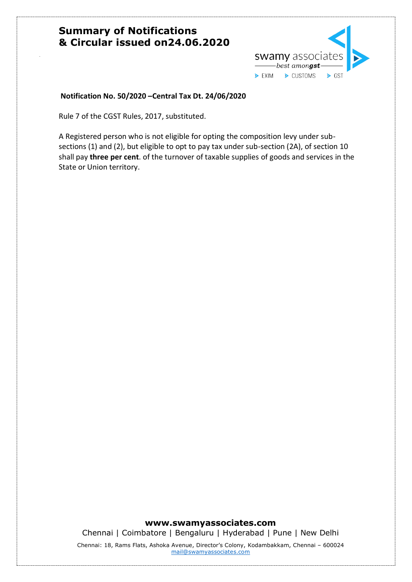

### **Notification No. 50/2020 –Central Tax Dt. 24/06/2020**

Rule 7 of the CGST Rules, 2017, substituted.

A Registered person who is not eligible for opting the composition levy under subsections (1) and (2), but eligible to opt to pay tax under sub-section (2A), of section 10 shall pay **three per cent**. of the turnover of taxable supplies of goods and services in the State or Union territory.

#### **www.swamyassociates.com**

Chennai | Coimbatore | Bengaluru | Hyderabad | Pune | New Delhi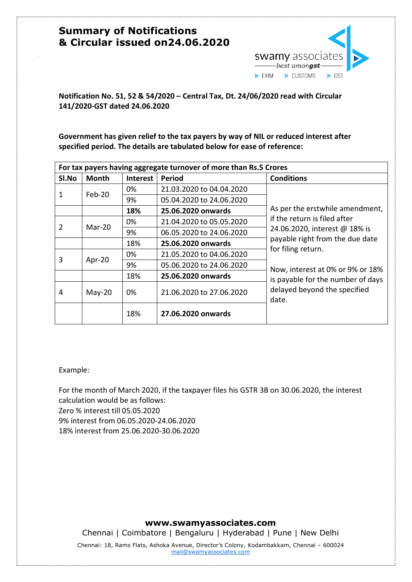

**Notification No. 51, 52 & 54/2020 – Central Tax, Dt. 24/06/2020 read with Circular 141/2020-GST dated 24.06.2020**

**Government has given relief to the tax payers by way of NIL or reduced interest after specified period. The details are tabulated below for ease of reference:** 

| For tax payers having aggregate turnover of more than Rs.5 Crores |          |                 |                          |                                                                            |  |
|-------------------------------------------------------------------|----------|-----------------|--------------------------|----------------------------------------------------------------------------|--|
| Sl.No                                                             | Month    | <b>Interest</b> | Period                   | <b>Conditions</b>                                                          |  |
|                                                                   | $Feb-20$ | 0%              | 21.03.2020 to 04.04.2020 |                                                                            |  |
| 1                                                                 |          | 9%              | 05.04.2020 to 24.06.2020 |                                                                            |  |
|                                                                   |          | 18%             | 25.06.2020 onwards       | As per the erstwhile amendment,                                            |  |
|                                                                   |          | 0%              | 21.04.2020 to 05.05.2020 | if the return is filed after<br>24.06.2020, interest @ 18% is              |  |
| 2                                                                 | $Mar-20$ | 9%              | 06.05.2020 to 24.06.2020 |                                                                            |  |
|                                                                   |          | 18%             | 25.06.2020 onwards       | payable right from the due date                                            |  |
|                                                                   | Apr-20   | 0%              | 21.05.2020 to 04.06.2020 | for filing return.                                                         |  |
| 3                                                                 |          | 9%              | 05.06.2020 to 24.06.2020 | Now, interest at 0% or 9% or 18%                                           |  |
|                                                                   |          | 18%             | 25.06.2020 onwards       | is payable for the number of days<br>delayed beyond the specified<br>date. |  |
| 4                                                                 | $May-20$ | 0%              | 21.06.2020 to 27.06.2020 |                                                                            |  |
|                                                                   |          | 18%             | 27.06.2020 onwards       |                                                                            |  |

Example:

For the month of March 2020, if the taxpayer files his GSTR 3B on 30.06.2020, the interest calculation would be as follows: Zero % interest till 05.05.2020 9% interest from 06.05.2020-24.06.2020 18% interest from 25.06.2020-30.06.2020

#### **www.swamyassociates.com**

Chennai | Coimbatore | Bengaluru | Hyderabad | Pune | New Delhi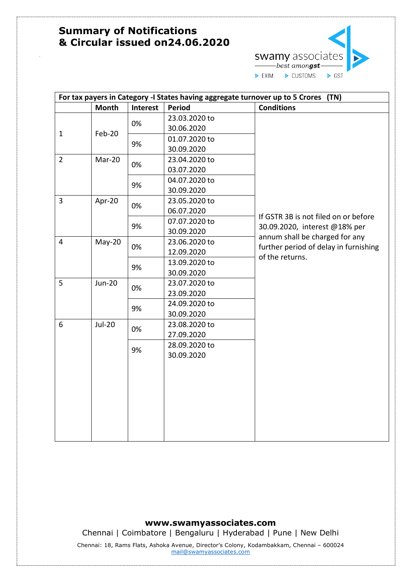

| For tax payers in Category -I States having aggregate turnover up to 5 Crores (TN) |               |                 |               |                                                                 |
|------------------------------------------------------------------------------------|---------------|-----------------|---------------|-----------------------------------------------------------------|
|                                                                                    | <b>Month</b>  | <b>Interest</b> | <b>Period</b> | <b>Conditions</b>                                               |
|                                                                                    |               |                 | 23.03.2020 to |                                                                 |
| $\mathbf{1}$                                                                       | Feb-20        | 0%              | 30.06.2020    |                                                                 |
|                                                                                    |               | 9%              | 01.07.2020 to |                                                                 |
|                                                                                    |               |                 | 30.09.2020    |                                                                 |
| $\overline{2}$                                                                     | Mar-20        | 0%              | 23.04.2020 to |                                                                 |
|                                                                                    |               |                 | 03.07.2020    |                                                                 |
|                                                                                    |               | 9%              | 04.07.2020 to |                                                                 |
|                                                                                    |               |                 | 30.09.2020    |                                                                 |
| $\overline{3}$                                                                     | Apr-20        | 0%              | 23.05.2020 to |                                                                 |
|                                                                                    |               |                 | 06.07.2020    |                                                                 |
|                                                                                    |               | 9%              | 07.07.2020 to | If GSTR 3B is not filed on or before                            |
|                                                                                    |               |                 | 30.09.2020    | 30.09.2020, interest @18% per<br>annum shall be charged for any |
| $\overline{4}$                                                                     | May-20        | 0%              | 23.06.2020 to | further period of delay in furnishing                           |
|                                                                                    |               |                 | 12.09.2020    | of the returns.                                                 |
|                                                                                    |               | 9%              | 13.09.2020 to |                                                                 |
|                                                                                    |               |                 | 30.09.2020    |                                                                 |
| 5                                                                                  | <b>Jun-20</b> | 0%              | 23.07.2020 to |                                                                 |
|                                                                                    |               |                 | 23.09.2020    |                                                                 |
|                                                                                    |               | 9%              | 24.09.2020 to |                                                                 |
|                                                                                    |               |                 | 30.09.2020    |                                                                 |
| 6                                                                                  | <b>Jul-20</b> | 0%              | 23.08.2020 to |                                                                 |
|                                                                                    |               |                 | 27.09.2020    |                                                                 |
|                                                                                    |               | 9%              | 28.09.2020 to |                                                                 |
|                                                                                    |               |                 | 30.09.2020    |                                                                 |
|                                                                                    |               |                 |               |                                                                 |
|                                                                                    |               |                 |               |                                                                 |
|                                                                                    |               |                 |               |                                                                 |
|                                                                                    |               |                 |               |                                                                 |
|                                                                                    |               |                 |               |                                                                 |
|                                                                                    |               |                 |               |                                                                 |
|                                                                                    |               |                 |               |                                                                 |
|                                                                                    |               |                 |               |                                                                 |

### **www.swamyassociates.com**

Chennai | Coimbatore | Bengaluru | Hyderabad | Pune | New Delhi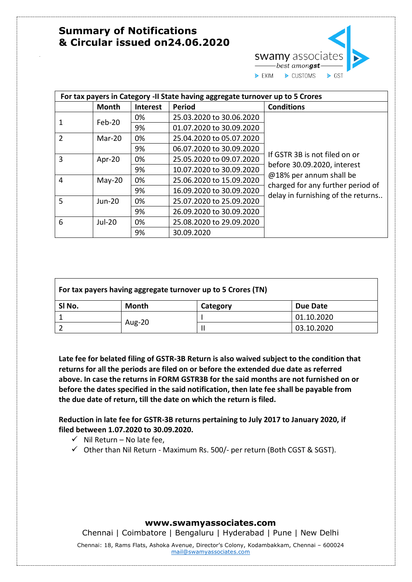

| For tax payers in Category -II State having aggregate turnover up to 5 Crores |          |                 |                          |                                                              |
|-------------------------------------------------------------------------------|----------|-----------------|--------------------------|--------------------------------------------------------------|
|                                                                               | Month    | <b>Interest</b> | <b>Period</b>            | <b>Conditions</b>                                            |
|                                                                               | Feb-20   | 0%              | 25.03.2020 to 30.06.2020 |                                                              |
| 1                                                                             |          | 9%              | 01.07.2020 to 30.09.2020 |                                                              |
| $\overline{2}$                                                                | Mar-20   | 0%              | 25.04.2020 to 05.07.2020 |                                                              |
|                                                                               |          | 9%              | 06.07.2020 to 30.09.2020 |                                                              |
| 3                                                                             | Apr-20   | 0%              | 25.05.2020 to 09.07.2020 | If GSTR 3B is not filed on or                                |
|                                                                               |          | 9%              | 10.07.2020 to 30.09.2020 | before 30.09.2020, interest                                  |
| 4                                                                             | $May-20$ | 0%              | 25.06.2020 to 15.09.2020 | @18% per annum shall be<br>charged for any further period of |
|                                                                               |          | 9%              | 16.09.2020 to 30.09.2020 | delay in furnishing of the returns                           |
| 5                                                                             | Jun-20   | 0%              | 25.07.2020 to 25.09.2020 |                                                              |
|                                                                               |          | 9%              | 26.09.2020 to 30.09.2020 |                                                              |
| 6                                                                             | $Jul-20$ | 0%              | 25.08.2020 to 29.09.2020 |                                                              |
|                                                                               |          | 9%              | 30.09.2020               |                                                              |

| For tax payers having aggregate turnover up to 5 Crores (TN) |        |          |            |  |
|--------------------------------------------------------------|--------|----------|------------|--|
| SI No.                                                       | Month  | Category | Due Date   |  |
|                                                              |        |          | 01.10.2020 |  |
|                                                              | Aug-20 |          | 03.10.2020 |  |

**Late fee for belated filing of GSTR-3B Return is also waived subject to the condition that returns for all the periods are filed on or before the extended due date as referred above. In case the returns in FORM GSTR3B for the said months are not furnished on or before the dates specified in the said notification, then late fee shall be payable from the due date of return, till the date on which the return is filed.**

**Reduction in late fee for GSTR-3B returns pertaining to July 2017 to January 2020, if filed between 1.07.2020 to 30.09.2020.** 

- $\checkmark$  Nil Return No late fee,
- $\checkmark$  Other than Nil Return Maximum Rs. 500/- per return (Both CGST & SGST).

#### **www.swamyassociates.com**

Chennai | Coimbatore | Bengaluru | Hyderabad | Pune | New Delhi